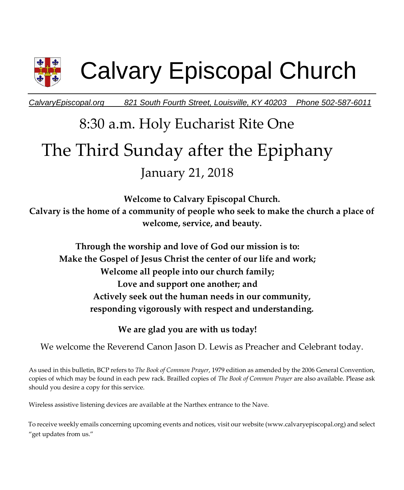

# Calvary Episcopal Church

*CalvaryEpiscopal.org 821 South Fourth Street, Louisville, KY 40203 Phone 502-587-6011* 

## 8:30 a.m. Holy Eucharist Rite One The Third Sunday after the Epiphany January 21, 2018

**Welcome to Calvary Episcopal Church. Calvary is the home of a community of people who seek to make the church a place of welcome, service, and beauty.** 

**Through the worship and love of God our mission is to: Make the Gospel of Jesus Christ the center of our life and work; Welcome all people into our church family; Love and support one another; and Actively seek out the human needs in our community, responding vigorously with respect and understanding.**

**We are glad you are with us today!** 

We welcome the Reverend Canon Jason D. Lewis as Preacher and Celebrant today.

As used in this bulletin, BCP refers to *The Book of Common Prayer*, 1979 edition as amended by the 2006 General Convention, copies of which may be found in each pew rack. Brailled copies of *The Book of Common Prayer* are also available. Please ask should you desire a copy for this service.

Wireless assistive listening devices are available at the Narthex entrance to the Nave.

To receive weekly emails concerning upcoming events and notices, visit our website (www.calvaryepiscopal.org) and select "get updates from us."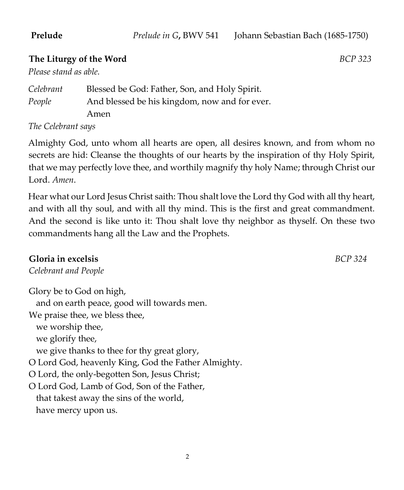### **The Liturgy of the Word** *BCP 323*

*Please stand as able.* 

| Celebrant | Blessed be God: Father, Son, and Holy Spirit. |
|-----------|-----------------------------------------------|
| People    | And blessed be his kingdom, now and for ever. |
|           | Amen                                          |
| $\sim$    |                                               |

*The Celebrant says* 

Almighty God, unto whom all hearts are open, all desires known, and from whom no secrets are hid: Cleanse the thoughts of our hearts by the inspiration of thy Holy Spirit, that we may perfectly love thee, and worthily magnify thy holy Name; through Christ our Lord. *Amen*.

Hear what our Lord Jesus Christ saith: Thou shalt love the Lord thy God with all thy heart, and with all thy soul, and with all thy mind. This is the first and great commandment. And the second is like unto it: Thou shalt love thy neighbor as thyself. On these two commandments hang all the Law and the Prophets.

### **Gloria in excelsis** *BCP 324*

*Celebrant and People*

Glory be to God on high, and on earth peace, good will towards men. We praise thee, we bless thee, we worship thee, we glorify thee, we give thanks to thee for thy great glory, O Lord God, heavenly King, God the Father Almighty. O Lord, the only-begotten Son, Jesus Christ; O Lord God, Lamb of God, Son of the Father, that takest away the sins of the world, have mercy upon us.

 $\overline{2}$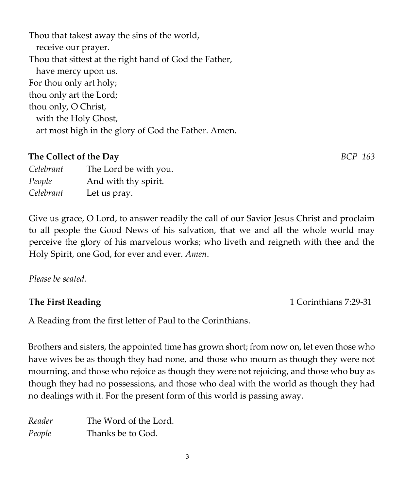3

Thou that takest away the sins of the world, receive our prayer. Thou that sittest at the right hand of God the Father, have mercy upon us. For thou only art holy; thou only art the Lord; thou only, O Christ, with the Holy Ghost, art most high in the glory of God the Father. Amen.

### **The Collect of the Day** *BCP 163*

*Celebrant* The Lord be with you. *People* And with thy spirit. *Celebrant* Let us pray.

Give us grace, O Lord, to answer readily the call of our Savior Jesus Christ and proclaim to all people the Good News of his salvation, that we and all the whole world may perceive the glory of his marvelous works; who liveth and reigneth with thee and the Holy Spirit, one God, for ever and ever. *Amen*.

*Please be seated.* 

A Reading from the first letter of Paul to the Corinthians.

Brothers and sisters, the appointed time has grown short; from now on, let even those who have wives be as though they had none, and those who mourn as though they were not mourning, and those who rejoice as though they were not rejoicing, and those who buy as though they had no possessions, and those who deal with the world as though they had no dealings with it. For the present form of this world is passing away.

| Reader | The Word of the Lord. |
|--------|-----------------------|
| People | Thanks be to God.     |

**The First Reading** 1 Corinthians 7:29-31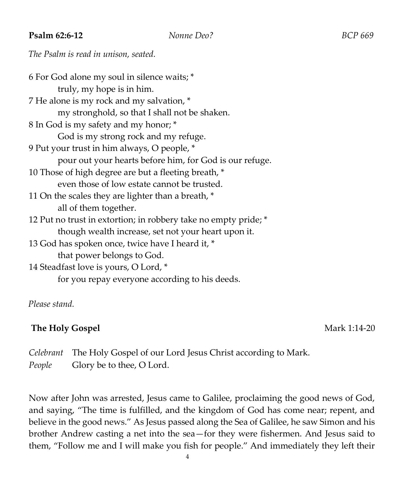### **Psalm 62:6-12** *Nonne Deo? BCP 669*

### *The Psalm is read in unison, seated.*

| 6 For God alone my soul in silence waits; *                     |  |  |
|-----------------------------------------------------------------|--|--|
| truly, my hope is in him.                                       |  |  |
| 7 He alone is my rock and my salvation, *                       |  |  |
| my stronghold, so that I shall not be shaken.                   |  |  |
| 8 In God is my safety and my honor; *                           |  |  |
| God is my strong rock and my refuge.                            |  |  |
| 9 Put your trust in him always, O people, *                     |  |  |
| pour out your hearts before him, for God is our refuge.         |  |  |
| 10 Those of high degree are but a fleeting breath, *            |  |  |
| even those of low estate cannot be trusted.                     |  |  |
| 11 On the scales they are lighter than a breath, *              |  |  |
| all of them together.                                           |  |  |
| 12 Put no trust in extortion; in robbery take no empty pride; * |  |  |
| though wealth increase, set not your heart upon it.             |  |  |
| 13 God has spoken once, twice have I heard it, *                |  |  |
| that power belongs to God.                                      |  |  |
| 14 Steadfast love is yours, O Lord, *                           |  |  |
| for you repay everyone according to his deeds.                  |  |  |

*Please stand.* 

### **The Holy Gospel** Mark 1:14-20

*Celebrant* The Holy Gospel of our Lord Jesus Christ according to Mark. *People* Glory be to thee, O Lord.

Now after John was arrested, Jesus came to Galilee, proclaiming the good news of God, and saying, "The time is fulfilled, and the kingdom of God has come near; repent, and believe in the good news." As Jesus passed along the Sea of Galilee, he saw Simon and his brother Andrew casting a net into the sea—for they were fishermen. And Jesus said to them, "Follow me and I will make you fish for people." And immediately they left their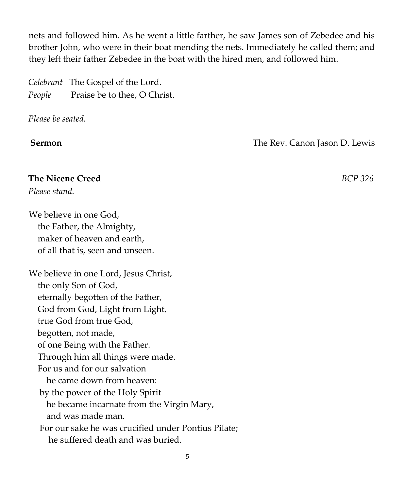nets and followed him. As he went a little farther, he saw James son of Zebedee and his brother John, who were in their boat mending the nets. Immediately he called them; and they left their father Zebedee in the boat with the hired men, and followed him.

|        | Celebrant The Gospel of the Lord. |
|--------|-----------------------------------|
| People | Praise be to thee, O Christ.      |

*Please be seated.* 

**Sermon The Rev. Canon Jason D. Lewis** 

### **The Nicene Creed** *BCP 326*

*Please stand.* 

We believe in one God, the Father, the Almighty, maker of heaven and earth, of all that is, seen and unseen.

We believe in one Lord, Jesus Christ, the only Son of God, eternally begotten of the Father, God from God, Light from Light, true God from true God, begotten, not made, of one Being with the Father. Through him all things were made. For us and for our salvation he came down from heaven: by the power of the Holy Spirit he became incarnate from the Virgin Mary, and was made man. For our sake he was crucified under Pontius Pilate; he suffered death and was buried.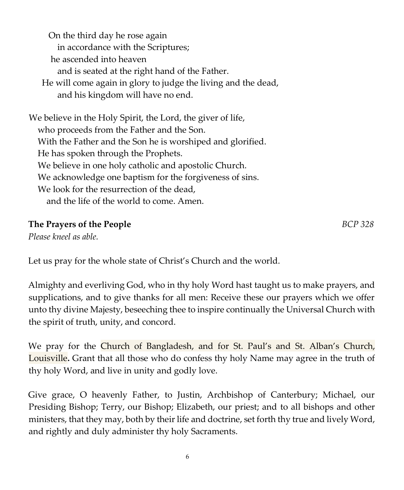On the third day he rose again in accordance with the Scriptures; he ascended into heaven and is seated at the right hand of the Father. He will come again in glory to judge the living and the dead, and his kingdom will have no end. We believe in the Holy Spirit, the Lord, the giver of life, who proceeds from the Father and the Son. With the Father and the Son he is worshiped and glorified. He has spoken through the Prophets. We believe in one holy catholic and apostolic Church. We acknowledge one baptism for the forgiveness of sins. We look for the resurrection of the dead, and the life of the world to come. Amen.

### **The Prayers of the People** *BCP 328*

*Please kneel as able.* 

Let us pray for the whole state of Christ's Church and the world.

Almighty and everliving God, who in thy holy Word hast taught us to make prayers, and supplications, and to give thanks for all men: Receive these our prayers which we offer unto thy divine Majesty, beseeching thee to inspire continually the Universal Church with the spirit of truth, unity, and concord.

We pray for the Church of Bangladesh, and for St. Paul's and St. Alban's Church, Louisville**.** Grant that all those who do confess thy holy Name may agree in the truth of thy holy Word, and live in unity and godly love.

Give grace, O heavenly Father, to Justin, Archbishop of Canterbury; Michael, our Presiding Bishop; Terry, our Bishop; Elizabeth, our priest; and to all bishops and other ministers, that they may, both by their life and doctrine, set forth thy true and lively Word, and rightly and duly administer thy holy Sacraments.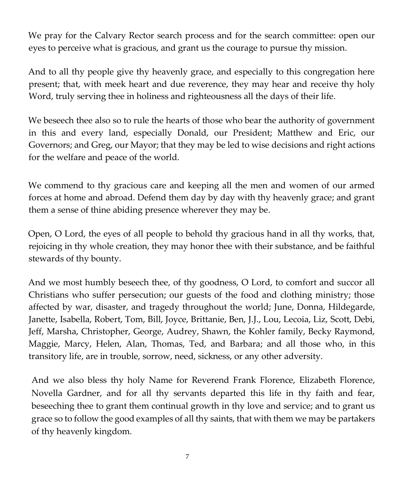We pray for the Calvary Rector search process and for the search committee: open our eyes to perceive what is gracious, and grant us the courage to pursue thy mission.

And to all thy people give thy heavenly grace, and especially to this congregation here present; that, with meek heart and due reverence, they may hear and receive thy holy Word, truly serving thee in holiness and righteousness all the days of their life.

We beseech thee also so to rule the hearts of those who bear the authority of government in this and every land, especially Donald, our President; Matthew and Eric, our Governors; and Greg, our Mayor; that they may be led to wise decisions and right actions for the welfare and peace of the world.

We commend to thy gracious care and keeping all the men and women of our armed forces at home and abroad. Defend them day by day with thy heavenly grace; and grant them a sense of thine abiding presence wherever they may be.

Open, O Lord, the eyes of all people to behold thy gracious hand in all thy works, that, rejoicing in thy whole creation, they may honor thee with their substance, and be faithful stewards of thy bounty.

And we most humbly beseech thee, of thy goodness, O Lord, to comfort and succor all Christians who suffer persecution; our guests of the food and clothing ministry; those affected by war, disaster, and tragedy throughout the world; June, Donna, Hildegarde, Janette, Isabella, Robert, Tom, Bill, Joyce, Brittanie, Ben, J.J., Lou, Lecoia, Liz, Scott, Debi, Jeff, Marsha, Christopher, George, Audrey, Shawn, the Kohler family, Becky Raymond, Maggie, Marcy, Helen, Alan, Thomas, Ted, and Barbara; and all those who, in this transitory life, are in trouble, sorrow, need, sickness, or any other adversity.

And we also bless thy holy Name for Reverend Frank Florence, Elizabeth Florence, Novella Gardner, and for all thy servants departed this life in thy faith and fear, beseeching thee to grant them continual growth in thy love and service; and to grant us grace so to follow the good examples of all thy saints, that with them we may be partakers of thy heavenly kingdom.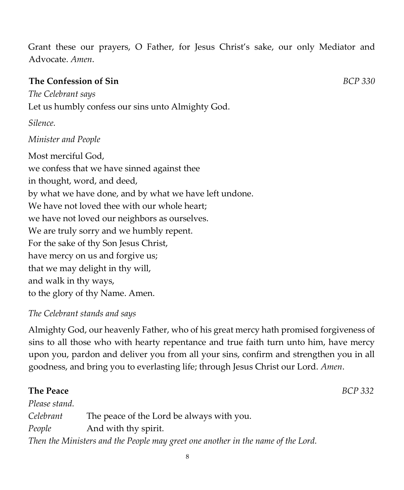Grant these our prayers, O Father, for Jesus Christ's sake, our only Mediator and Advocate. *Amen*.

### **The Confession of Sin** *BCP 330*

*The Celebrant says*  Let us humbly confess our sins unto Almighty God.

*Silence.* 

### *Minister and People*

Most merciful God, we confess that we have sinned against thee in thought, word, and deed, by what we have done, and by what we have left undone. We have not loved thee with our whole heart; we have not loved our neighbors as ourselves. We are truly sorry and we humbly repent. For the sake of thy Son Jesus Christ, have mercy on us and forgive us; that we may delight in thy will, and walk in thy ways, to the glory of thy Name. Amen.

### *The Celebrant stands and says*

Almighty God, our heavenly Father, who of his great mercy hath promised forgiveness of sins to all those who with hearty repentance and true faith turn unto him, have mercy upon you, pardon and deliver you from all your sins, confirm and strengthen you in all goodness, and bring you to everlasting life; through Jesus Christ our Lord. *Amen*.

### **The Peace** *BCP 332*

*Please stand. Celebrant* The peace of the Lord be always with you. *People* And with thy spirit. *Then the Ministers and the People may greet one another in the name of the Lord.*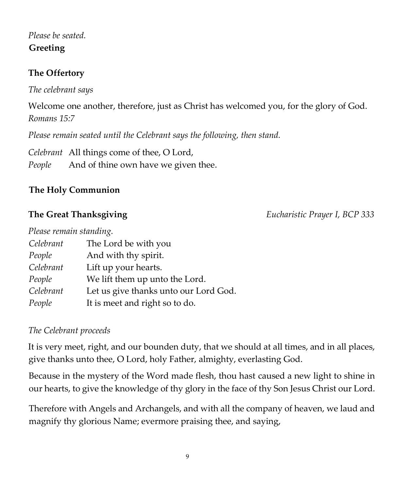### *Please be seated.*  **Greeting**

### **The Offertory**

*The celebrant says* 

Welcome one another, therefore, just as Christ has welcomed you, for the glory of God. *Romans 15:7* 

*Please remain seated until the Celebrant says the following, then stand.* 

*Celebrant* All things come of thee, O Lord, *People* And of thine own have we given thee.

### **The Holy Communion**

**The Great Thanksgiving** *Eucharistic Prayer I, BCP 333*

| Please remain standing. |                                       |
|-------------------------|---------------------------------------|
| Celebrant               | The Lord be with you                  |
| People                  | And with thy spirit.                  |
| Celebrant               | Lift up your hearts.                  |
| People                  | We lift them up unto the Lord.        |
| Celebrant               | Let us give thanks unto our Lord God. |
| People                  | It is meet and right so to do.        |

### *The Celebrant proceeds*

It is very meet, right, and our bounden duty, that we should at all times, and in all places, give thanks unto thee, O Lord, holy Father, almighty, everlasting God.

Because in the mystery of the Word made flesh, thou hast caused a new light to shine in our hearts, to give the knowledge of thy glory in the face of thy Son Jesus Christ our Lord.

Therefore with Angels and Archangels, and with all the company of heaven, we laud and magnify thy glorious Name; evermore praising thee, and saying,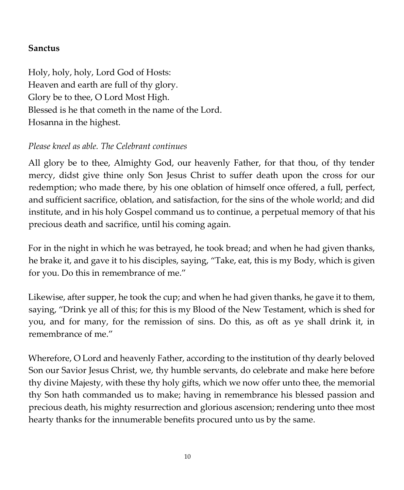### **Sanctus**

Holy, holy, holy, Lord God of Hosts: Heaven and earth are full of thy glory. Glory be to thee, O Lord Most High. Blessed is he that cometh in the name of the Lord. Hosanna in the highest.

### *Please kneel as able. The Celebrant continues*

All glory be to thee, Almighty God, our heavenly Father, for that thou, of thy tender mercy, didst give thine only Son Jesus Christ to suffer death upon the cross for our redemption; who made there, by his one oblation of himself once offered, a full, perfect, and sufficient sacrifice, oblation, and satisfaction, for the sins of the whole world; and did institute, and in his holy Gospel command us to continue, a perpetual memory of that his precious death and sacrifice, until his coming again.

For in the night in which he was betrayed, he took bread; and when he had given thanks, he brake it, and gave it to his disciples, saying, "Take, eat, this is my Body, which is given for you. Do this in remembrance of me."

Likewise, after supper, he took the cup; and when he had given thanks, he gave it to them, saying, "Drink ye all of this; for this is my Blood of the New Testament, which is shed for you, and for many, for the remission of sins. Do this, as oft as ye shall drink it, in remembrance of me."

Wherefore, O Lord and heavenly Father, according to the institution of thy dearly beloved Son our Savior Jesus Christ, we, thy humble servants, do celebrate and make here before thy divine Majesty, with these thy holy gifts, which we now offer unto thee, the memorial thy Son hath commanded us to make; having in remembrance his blessed passion and precious death, his mighty resurrection and glorious ascension; rendering unto thee most hearty thanks for the innumerable benefits procured unto us by the same.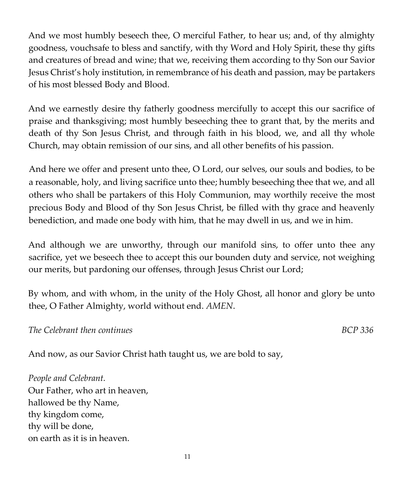And we most humbly beseech thee, O merciful Father, to hear us; and, of thy almighty goodness, vouchsafe to bless and sanctify, with thy Word and Holy Spirit, these thy gifts and creatures of bread and wine; that we, receiving them according to thy Son our Savior Jesus Christ's holy institution, in remembrance of his death and passion, may be partakers of his most blessed Body and Blood.

And we earnestly desire thy fatherly goodness mercifully to accept this our sacrifice of praise and thanksgiving; most humbly beseeching thee to grant that, by the merits and death of thy Son Jesus Christ, and through faith in his blood, we, and all thy whole Church, may obtain remission of our sins, and all other benefits of his passion.

And here we offer and present unto thee, O Lord, our selves, our souls and bodies, to be a reasonable, holy, and living sacrifice unto thee; humbly beseeching thee that we, and all others who shall be partakers of this Holy Communion, may worthily receive the most precious Body and Blood of thy Son Jesus Christ, be filled with thy grace and heavenly benediction, and made one body with him, that he may dwell in us, and we in him.

And although we are unworthy, through our manifold sins, to offer unto thee any sacrifice, yet we beseech thee to accept this our bounden duty and service, not weighing our merits, but pardoning our offenses, through Jesus Christ our Lord;

By whom, and with whom, in the unity of the Holy Ghost, all honor and glory be unto thee, O Father Almighty, world without end. *AMEN*.

*The Celebrant then continues BCP 336* 

And now, as our Savior Christ hath taught us, we are bold to say,

*People and Celebrant.*  Our Father, who art in heaven, hallowed be thy Name, thy kingdom come, thy will be done, on earth as it is in heaven.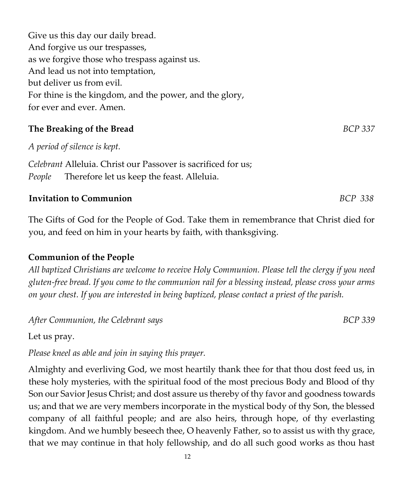Give us this day our daily bread. And forgive us our trespasses, as we forgive those who trespass against us. And lead us not into temptation, but deliver us from evil. For thine is the kingdom, and the power, and the glory, for ever and ever. Amen.

### **The Breaking of the Bread** *BCP 337*

*A period of silence is kept.* 

*Celebrant* Alleluia. Christ our Passover is sacrificed for us; *People* Therefore let us keep the feast. Alleluia.

### **Invitation to Communion** *BCP 338*

The Gifts of God for the People of God. Take them in remembrance that Christ died for you, and feed on him in your hearts by faith, with thanksgiving.

### **Communion of the People**

*All baptized Christians are welcome to receive Holy Communion. Please tell the clergy if you need gluten-free bread. If you come to the communion rail for a blessing instead, please cross your arms on your chest. If you are interested in being baptized, please contact a priest of the parish.* 

After Communion, the Celebrant says **BCP** 339

Let us pray.

*Please kneel as able and join in saying this prayer.* 

Almighty and everliving God, we most heartily thank thee for that thou dost feed us, in these holy mysteries, with the spiritual food of the most precious Body and Blood of thy Son our Savior Jesus Christ; and dost assure us thereby of thy favor and goodness towards us; and that we are very members incorporate in the mystical body of thy Son, the blessed company of all faithful people; and are also heirs, through hope, of thy everlasting kingdom. And we humbly beseech thee, O heavenly Father, so to assist us with thy grace, that we may continue in that holy fellowship, and do all such good works as thou hast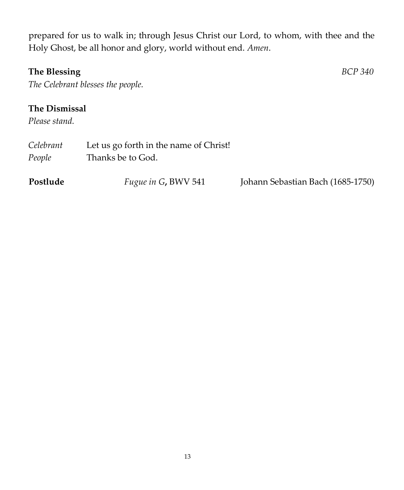prepared for us to walk in; through Jesus Christ our Lord, to whom, with thee and the Holy Ghost, be all honor and glory, world without end. *Amen*.

### **The Blessing** *BCP 340*

*The Celebrant blesses the people.* 

### **The Dismissal**

*Please stand.* 

| Celebrant<br>People | Let us go forth in the name of Christ!<br>Thanks be to God. |                                   |
|---------------------|-------------------------------------------------------------|-----------------------------------|
| Postlude            | <i>Fugue in G, BWV 541</i>                                  | Johann Sebastian Bach (1685-1750) |

13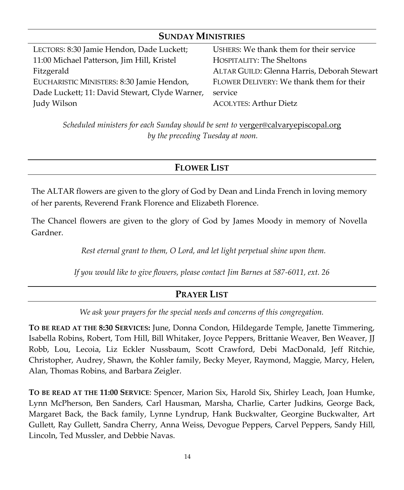### **SUNDAY MINISTRIES**

| LECTORS: 8:30 Jamie Hendon, Dade Luckett;      | USHERS: We thank them for their service     |
|------------------------------------------------|---------------------------------------------|
| 11:00 Michael Patterson, Jim Hill, Kristel     | HOSPITALITY: The Sheltons                   |
| Fitzgerald                                     | ALTAR GUILD: Glenna Harris, Deborah Stewart |
| EUCHARISTIC MINISTERS: 8:30 Jamie Hendon,      | FLOWER DELIVERY: We thank them for their    |
| Dade Luckett; 11: David Stewart, Clyde Warner, | service                                     |
| Judy Wilson                                    | <b>ACOLYTES: Arthur Dietz</b>               |

Scheduled ministers for each Sunday should be sent to [verger@calvaryepiscopal.org](mailto:verger@calvaryepiscopal.org) *by the preceding Tuesday at noon.*

### **FLOWER LIST**

The ALTAR flowers are given to the glory of God by Dean and Linda French in loving memory of her parents, Reverend Frank Florence and Elizabeth Florence.

The Chancel flowers are given to the glory of God by James Moody in memory of Novella Gardner.

*Rest eternal grant to them, O Lord, and let light perpetual shine upon them.*

*If you would like to give flowers, please contact Jim Barnes at 587-6011, ext. 26*

### **PRAYER LIST**

*We ask your prayers for the special needs and concerns of this congregation.*

**TO BE READ AT THE 8:30 SERVICES:** June, Donna Condon, Hildegarde Temple, Janette Timmering, Isabella Robins, Robert, Tom Hill, Bill Whitaker, Joyce Peppers, Brittanie Weaver, Ben Weaver, JJ Robb, Lou, Lecoia, Liz Eckler Nussbaum, Scott Crawford, Debi MacDonald, Jeff Ritchie, Christopher, Audrey, Shawn, the Kohler family, Becky Meyer, Raymond, Maggie, Marcy, Helen, Alan, Thomas Robins, and Barbara Zeigler.

**TO BE READ AT THE 11:00 SERVICE**: Spencer, Marion Six, Harold Six, Shirley Leach, Joan Humke, Lynn McPherson, Ben Sanders, Carl Hausman, Marsha, Charlie, Carter Judkins, George Back, Margaret Back, the Back family, Lynne Lyndrup, Hank Buckwalter, Georgine Buckwalter, Art Gullett, Ray Gullett, Sandra Cherry, Anna Weiss, Devogue Peppers, Carvel Peppers, Sandy Hill, Lincoln, Ted Mussler, and Debbie Navas.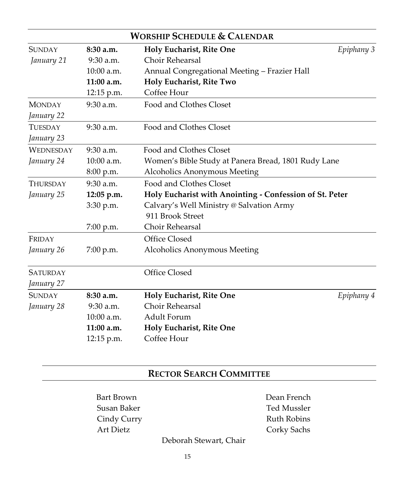| <b>WORSHIP SCHEDULE &amp; CALENDAR</b>                                          |                                                                       |                                              |            |  |
|---------------------------------------------------------------------------------|-----------------------------------------------------------------------|----------------------------------------------|------------|--|
| <b>SUNDAY</b>                                                                   | 8:30a.m.                                                              | Holy Eucharist, Rite One                     | Epiphany 3 |  |
| January 21                                                                      | $9:30$ a.m.                                                           | Choir Rehearsal                              |            |  |
|                                                                                 | $10:00$ a.m.                                                          | Annual Congregational Meeting - Frazier Hall |            |  |
|                                                                                 | $11:00$ a.m.                                                          | Holy Eucharist, Rite Two                     |            |  |
|                                                                                 | 12:15 p.m.                                                            | Coffee Hour                                  |            |  |
| <b>MONDAY</b>                                                                   | $9:30$ a.m.                                                           | Food and Clothes Closet                      |            |  |
| January 22                                                                      |                                                                       |                                              |            |  |
| <b>TUESDAY</b>                                                                  | $9:30$ a.m.                                                           | Food and Clothes Closet                      |            |  |
| January 23                                                                      |                                                                       |                                              |            |  |
| <b>WEDNESDAY</b>                                                                | $9:30$ a.m.                                                           | Food and Clothes Closet                      |            |  |
| 10:00 a.m.<br>Women's Bible Study at Panera Bread, 1801 Rudy Lane<br>January 24 |                                                                       |                                              |            |  |
|                                                                                 | 8:00 p.m.                                                             | <b>Alcoholics Anonymous Meeting</b>          |            |  |
| <b>THURSDAY</b>                                                                 | $9:30$ a.m.                                                           | Food and Clothes Closet                      |            |  |
| January 25                                                                      | Holy Eucharist with Anointing - Confession of St. Peter<br>12:05 p.m. |                                              |            |  |
| Calvary's Well Ministry @ Salvation Army<br>3:30 p.m.                           |                                                                       |                                              |            |  |
|                                                                                 |                                                                       | 911 Brook Street                             |            |  |
|                                                                                 | 7:00 p.m.                                                             | Choir Rehearsal                              |            |  |
| FRIDAY                                                                          |                                                                       | Office Closed                                |            |  |
| January 26                                                                      | 7:00 p.m.                                                             | Alcoholics Anonymous Meeting                 |            |  |
| <b>SATURDAY</b>                                                                 |                                                                       | Office Closed                                |            |  |
| January 27                                                                      |                                                                       |                                              |            |  |
| <b>SUNDAY</b>                                                                   | 8:30a.m.                                                              | Holy Eucharist, Rite One                     | Epiphany 4 |  |
| January 28                                                                      | $9:30$ a.m.                                                           | Choir Rehearsal                              |            |  |
|                                                                                 | $10:00$ a.m.                                                          | Adult Forum                                  |            |  |
|                                                                                 | $11:00$ a.m.                                                          | Holy Eucharist, Rite One                     |            |  |
|                                                                                 | 12:15 p.m.                                                            | Coffee Hour                                  |            |  |

### **RECTOR SEARCH COMMITTEE**

Bart Brown Dean French Susan Baker Ted Mussler Art Dietz Corky Sachs

Cindy Curry **Ruth Robins** 

Deborah Stewart, Chair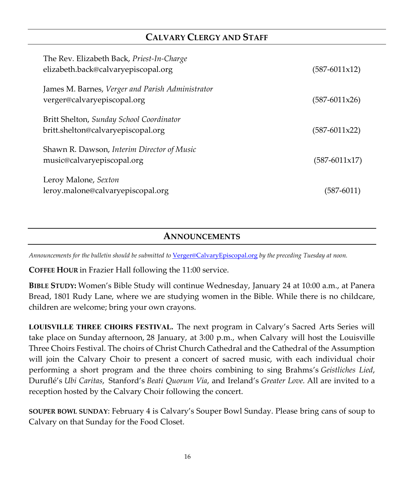### **CALVARY CLERGY AND STAFF**

| The Rev. Elizabeth Back, Priest-In-Charge<br>elizabeth.back@calvaryepiscopal.org | $(587-6011x12)$ |
|----------------------------------------------------------------------------------|-----------------|
| James M. Barnes, Verger and Parish Administrator<br>verger@calvaryepiscopal.org  | $(587-6011x26)$ |
| Britt Shelton, Sunday School Coordinator<br>britt.shelton@calvaryepiscopal.org   | $(587-6011x22)$ |
| Shawn R. Dawson, Interim Director of Music<br>music@calvaryepiscopal.org         | (587-6011x17)   |
| Leroy Malone, Sexton<br>leroy.malone@calvaryepiscopal.org                        | $(587 - 6011)$  |

### **ANNOUNCEMENTS**

*Announcements for the bulletin should be submitted to* [Verger@CalvaryEpiscopal.org](mailto:Verger@CalvaryEpiscopal.org) *by the preceding Tuesday at noon.*

**COFFEE HOUR** in Frazier Hall following the 11:00 service.

**BIBLE STUDY:** Women's Bible Study will continue Wednesday, January 24 at 10:00 a.m., at Panera Bread, 1801 Rudy Lane, where we are studying women in the Bible. While there is no childcare, children are welcome; bring your own crayons.

LOUISVILLE THREE CHOIRS FESTIVAL. The next program in Calvary's Sacred Arts Series will take place on Sunday afternoon, 28 January, at 3:00 p.m., when Calvary will host the Louisville Three Choirs Festival. The choirs of Christ Church Cathedral and the Cathedral of the Assumption will join the Calvary Choir to present a concert of sacred music, with each individual choir performing a short program and the three choirs combining to sing Brahms's *Geistliches Lied*, Duruflé's *Ubi Caritas*, Stanford's *Beati Quorum Via*, and Ireland's *Greater Love.* All are invited to a reception hosted by the Calvary Choir following the concert.

**SOUPER BOWL SUNDAY**: February 4 is Calvary's Souper Bowl Sunday. Please bring cans of soup to Calvary on that Sunday for the Food Closet.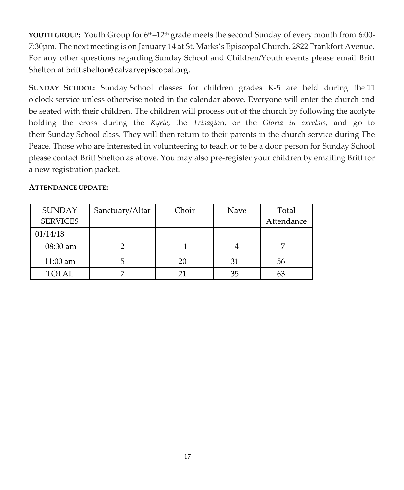**YOUTH GROUP:** Youth Group for 6th–12th grade meets the second Sunday of every month from 6:00- 7:30pm. The next meeting is on January 14 at St. Marks's Episcopal Church, 2822 Frankfort Avenue. For any other questions regarding Sunday School and Children/Youth events please email Britt Shelton at [britt.shelton@calvaryepiscopal.org.](mailto:britt.shelton@calvaryepiscopal.org)

**SUNDAY SCHOOL:** Sunday School classes for children grades K-5 are held during the 11 o'clock service unless otherwise noted in the calendar above. Everyone will enter the church and be seated with their children. The children will process out of the church by following the acolyte holding the cross during the *Kyrie*, the *Trisagio*n, or the *Gloria in excelsis,* and go to their Sunday School class. They will then return to their parents in the church service during The Peace. Those who are interested in volunteering to teach or to be a door person for Sunday School please contact Britt Shelton as above. You may also pre-register your children by emailing Britt for a new registration packet.

### **ATTENDANCE UPDATE:**

| <b>SUNDAY</b>   | Sanctuary/Altar | Choir | Nave | Total      |
|-----------------|-----------------|-------|------|------------|
| <b>SERVICES</b> |                 |       |      | Attendance |
| 01/14/18        |                 |       |      |            |
| $08:30$ am      |                 |       |      |            |
| $11:00$ am      |                 | 20    | 31   | 56         |
| <b>TOTAL</b>    |                 | 21    | 35   | 63         |